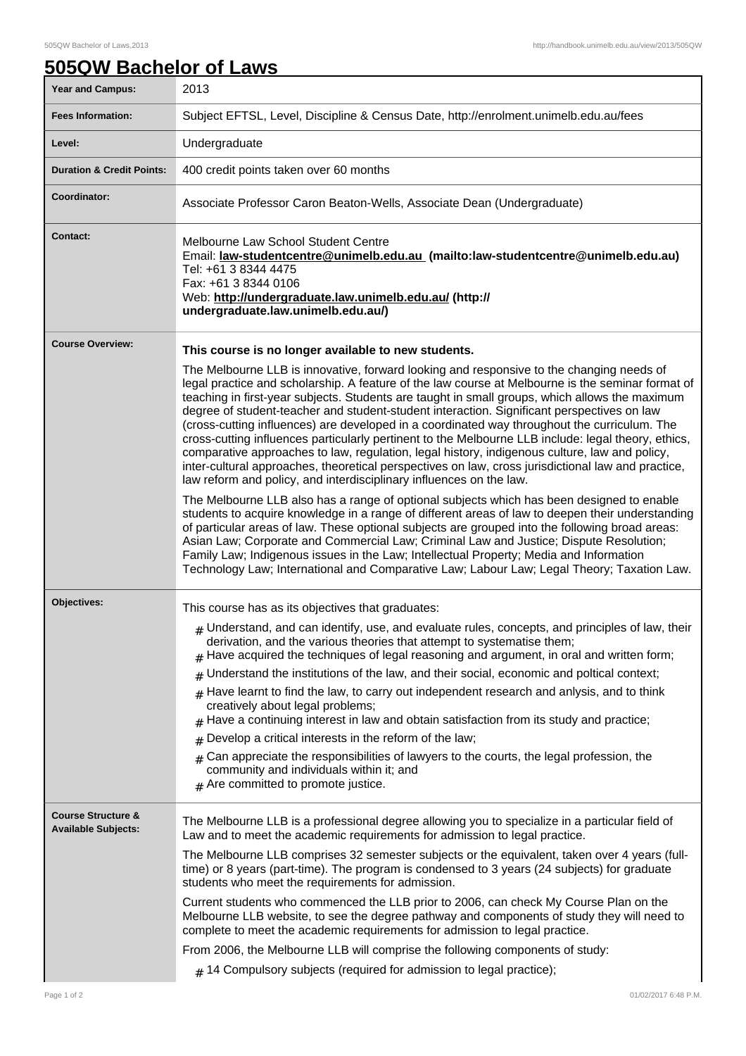## **505QW Bachelor of Laws**

| <b>Year and Campus:</b>                                     | 2013                                                                                                                                                                                                                                                                                                                                                                                                                                                                                                                                                                                                                                                                                                                                                                                                                                                                                                                                      |
|-------------------------------------------------------------|-------------------------------------------------------------------------------------------------------------------------------------------------------------------------------------------------------------------------------------------------------------------------------------------------------------------------------------------------------------------------------------------------------------------------------------------------------------------------------------------------------------------------------------------------------------------------------------------------------------------------------------------------------------------------------------------------------------------------------------------------------------------------------------------------------------------------------------------------------------------------------------------------------------------------------------------|
| <b>Fees Information:</b>                                    | Subject EFTSL, Level, Discipline & Census Date, http://enrolment.unimelb.edu.au/fees                                                                                                                                                                                                                                                                                                                                                                                                                                                                                                                                                                                                                                                                                                                                                                                                                                                      |
| Level:                                                      | Undergraduate                                                                                                                                                                                                                                                                                                                                                                                                                                                                                                                                                                                                                                                                                                                                                                                                                                                                                                                             |
| <b>Duration &amp; Credit Points:</b>                        | 400 credit points taken over 60 months                                                                                                                                                                                                                                                                                                                                                                                                                                                                                                                                                                                                                                                                                                                                                                                                                                                                                                    |
| Coordinator:                                                | Associate Professor Caron Beaton-Wells, Associate Dean (Undergraduate)                                                                                                                                                                                                                                                                                                                                                                                                                                                                                                                                                                                                                                                                                                                                                                                                                                                                    |
| <b>Contact:</b>                                             | Melbourne Law School Student Centre<br>Email: <u>law-studentcentre@unimelb.edu.au</u> (mailto:law-studentcentre@unimelb.edu.au)<br>Tel: +61 3 8344 4475<br>Fax: +61 3 8344 0106<br>Web: http://undergraduate.law.unimelb.edu.au/ (http://<br>undergraduate.law.unimelb.edu.au/)                                                                                                                                                                                                                                                                                                                                                                                                                                                                                                                                                                                                                                                           |
| <b>Course Overview:</b>                                     | This course is no longer available to new students.<br>The Melbourne LLB is innovative, forward looking and responsive to the changing needs of<br>legal practice and scholarship. A feature of the law course at Melbourne is the seminar format of<br>teaching in first-year subjects. Students are taught in small groups, which allows the maximum<br>degree of student-teacher and student-student interaction. Significant perspectives on law<br>(cross-cutting influences) are developed in a coordinated way throughout the curriculum. The<br>cross-cutting influences particularly pertinent to the Melbourne LLB include: legal theory, ethics,<br>comparative approaches to law, regulation, legal history, indigenous culture, law and policy,<br>inter-cultural approaches, theoretical perspectives on law, cross jurisdictional law and practice,<br>law reform and policy, and interdisciplinary influences on the law. |
|                                                             | The Melbourne LLB also has a range of optional subjects which has been designed to enable<br>students to acquire knowledge in a range of different areas of law to deepen their understanding<br>of particular areas of law. These optional subjects are grouped into the following broad areas:<br>Asian Law; Corporate and Commercial Law; Criminal Law and Justice; Dispute Resolution;<br>Family Law; Indigenous issues in the Law; Intellectual Property; Media and Information<br>Technology Law; International and Comparative Law; Labour Law; Legal Theory; Taxation Law.                                                                                                                                                                                                                                                                                                                                                        |
| Objectives:                                                 | This course has as its objectives that graduates:                                                                                                                                                                                                                                                                                                                                                                                                                                                                                                                                                                                                                                                                                                                                                                                                                                                                                         |
|                                                             | $#$ Understand, and can identify, use, and evaluate rules, concepts, and principles of law, their<br>derivation, and the various theories that attempt to systematise them;<br>Have acquired the techniques of legal reasoning and argument, in oral and written form;<br>#                                                                                                                                                                                                                                                                                                                                                                                                                                                                                                                                                                                                                                                               |
|                                                             | Understand the institutions of the law, and their social, economic and poltical context;<br>#<br>Have learnt to find the law, to carry out independent research and anlysis, and to think<br>#<br>creatively about legal problems;<br>Have a continuing interest in law and obtain satisfaction from its study and practice;<br>#<br>Develop a critical interests in the reform of the law;<br>#<br>$#$ Can appreciate the responsibilities of lawyers to the courts, the legal profession, the<br>community and individuals within it; and<br>$#$ Are committed to promote justice.                                                                                                                                                                                                                                                                                                                                                      |
| <b>Course Structure &amp;</b><br><b>Available Subjects:</b> | The Melbourne LLB is a professional degree allowing you to specialize in a particular field of<br>Law and to meet the academic requirements for admission to legal practice.                                                                                                                                                                                                                                                                                                                                                                                                                                                                                                                                                                                                                                                                                                                                                              |
|                                                             | The Melbourne LLB comprises 32 semester subjects or the equivalent, taken over 4 years (full-<br>time) or 8 years (part-time). The program is condensed to 3 years (24 subjects) for graduate<br>students who meet the requirements for admission.                                                                                                                                                                                                                                                                                                                                                                                                                                                                                                                                                                                                                                                                                        |
|                                                             | Current students who commenced the LLB prior to 2006, can check My Course Plan on the<br>Melbourne LLB website, to see the degree pathway and components of study they will need to<br>complete to meet the academic requirements for admission to legal practice.                                                                                                                                                                                                                                                                                                                                                                                                                                                                                                                                                                                                                                                                        |
|                                                             | From 2006, the Melbourne LLB will comprise the following components of study:<br>$#$ 14 Compulsory subjects (required for admission to legal practice);                                                                                                                                                                                                                                                                                                                                                                                                                                                                                                                                                                                                                                                                                                                                                                                   |
|                                                             |                                                                                                                                                                                                                                                                                                                                                                                                                                                                                                                                                                                                                                                                                                                                                                                                                                                                                                                                           |